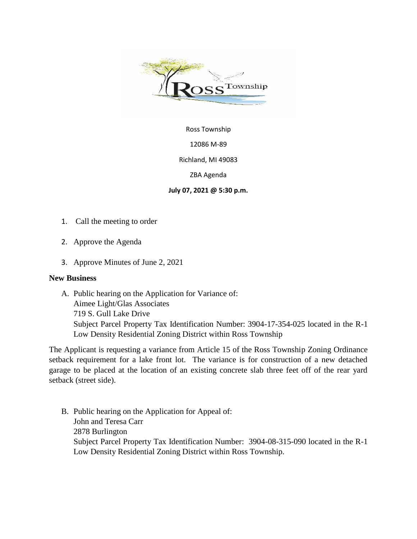

Ross Township

12086 M-89

Richland, MI 49083

ZBA Agenda

## **July 07, 2021 @ 5:30 p.m.**

- 1. Call the meeting to order
- 2. Approve the Agenda
- 3. Approve Minutes of June 2, 2021

## **New Business**

A. Public hearing on the Application for Variance of: Aimee Light/Glas Associates 719 S. Gull Lake Drive Subject Parcel Property Tax Identification Number: 3904-17-354-025 located in the R-1 Low Density Residential Zoning District within Ross Township

The Applicant is requesting a variance from Article 15 of the Ross Township Zoning Ordinance setback requirement for a lake front lot. The variance is for construction of a new detached garage to be placed at the location of an existing concrete slab three feet off of the rear yard setback (street side).

B. Public hearing on the Application for Appeal of: John and Teresa Carr 2878 Burlington Subject Parcel Property Tax Identification Number: 3904-08-315-090 located in the R-1 Low Density Residential Zoning District within Ross Township.